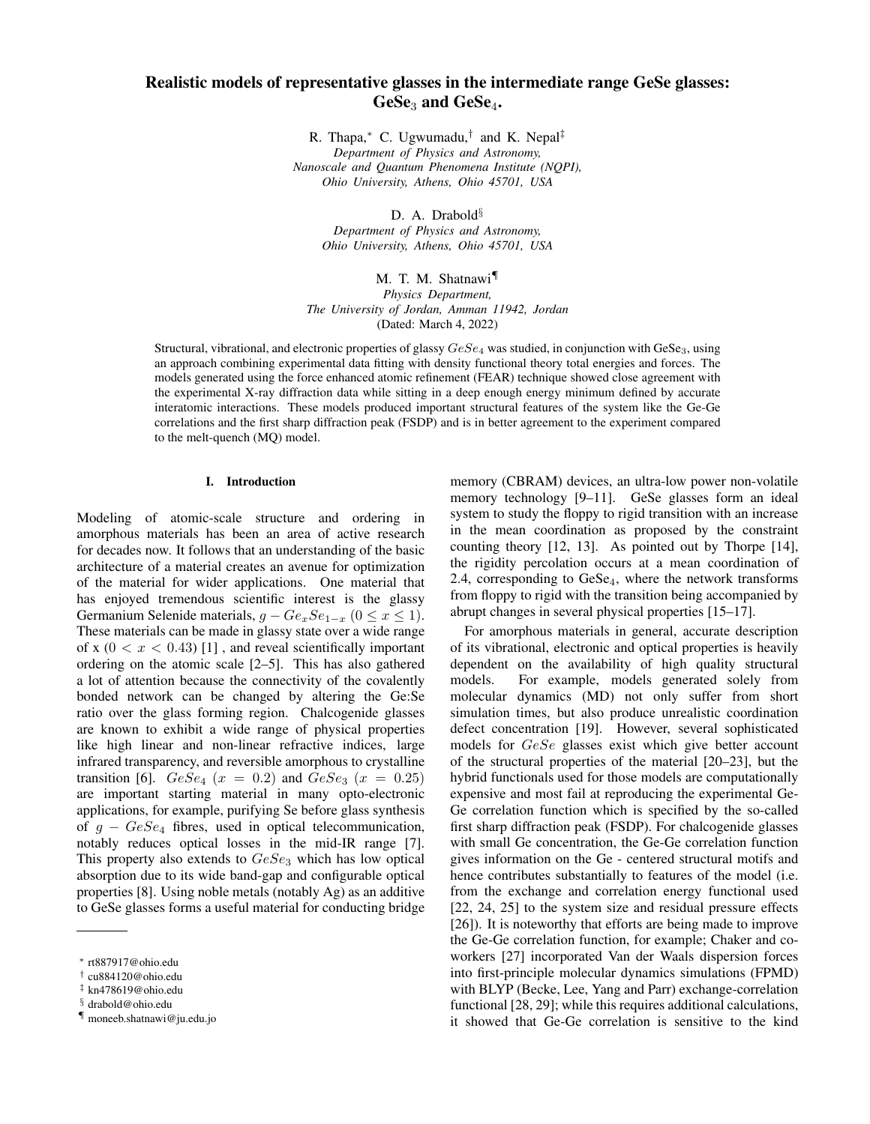# Realistic models of representative glasses in the intermediate range GeSe glasses: GeSe<sub>3</sub> and GeSe<sub>4</sub>.

R. Thapa,<sup>∗</sup> C. Ugwumadu,† and K. Nepal‡ *Department of Physics and Astronomy, Nanoscale and Quantum Phenomena Institute (NQPI), Ohio University, Athens, Ohio 45701, USA*

D. A. Drabold<sup>§</sup>

*Department of Physics and Astronomy, Ohio University, Athens, Ohio 45701, USA*

M. T. M. Shatnawi¶ *Physics Department, The University of Jordan, Amman 11942, Jordan* (Dated: March 4, 2022)

Structural, vibrational, and electronic properties of glassy  $GeSe_4$  was studied, in conjunction with GeSe<sub>3</sub>, using an approach combining experimental data fitting with density functional theory total energies and forces. The models generated using the force enhanced atomic refinement (FEAR) technique showed close agreement with the experimental X-ray diffraction data while sitting in a deep enough energy minimum defined by accurate interatomic interactions. These models produced important structural features of the system like the Ge-Ge correlations and the first sharp diffraction peak (FSDP) and is in better agreement to the experiment compared to the melt-quench (MQ) model.

#### I. Introduction

Modeling of atomic-scale structure and ordering in amorphous materials has been an area of active research for decades now. It follows that an understanding of the basic architecture of a material creates an avenue for optimization of the material for wider applications. One material that has enjoyed tremendous scientific interest is the glassy Germanium Selenide materials,  $g - Ge_x Se_{1-x}$  ( $0 \le x \le 1$ ). These materials can be made in glassy state over a wide range of x  $(0 < x < 0.43)$  [1], and reveal scientifically important ordering on the atomic scale [2–5]. This has also gathered a lot of attention because the connectivity of the covalently bonded network can be changed by altering the Ge:Se ratio over the glass forming region. Chalcogenide glasses are known to exhibit a wide range of physical properties like high linear and non-linear refractive indices, large infrared transparency, and reversible amorphous to crystalline transition [6].  $GeSe_4$  ( $x = 0.2$ ) and  $GeSe_3$  ( $x = 0.25$ ) are important starting material in many opto-electronic applications, for example, purifying Se before glass synthesis of  $g - GeSe_4$  fibres, used in optical telecommunication, notably reduces optical losses in the mid-IR range [7]. This property also extends to  $GeSe_3$  which has low optical absorption due to its wide band-gap and configurable optical properties [8]. Using noble metals (notably Ag) as an additive to GeSe glasses forms a useful material for conducting bridge

memory (CBRAM) devices, an ultra-low power non-volatile memory technology [9–11]. GeSe glasses form an ideal system to study the floppy to rigid transition with an increase in the mean coordination as proposed by the constraint counting theory [12, 13]. As pointed out by Thorpe [14], the rigidity percolation occurs at a mean coordination of 2.4, corresponding to  $GeSe<sub>4</sub>$ , where the network transforms from floppy to rigid with the transition being accompanied by abrupt changes in several physical properties [15–17].

For amorphous materials in general, accurate description of its vibrational, electronic and optical properties is heavily dependent on the availability of high quality structural models. For example, models generated solely from molecular dynamics (MD) not only suffer from short simulation times, but also produce unrealistic coordination defect concentration [19]. However, several sophisticated models for GeSe glasses exist which give better account of the structural properties of the material [20–23], but the hybrid functionals used for those models are computationally expensive and most fail at reproducing the experimental Ge-Ge correlation function which is specified by the so-called first sharp diffraction peak (FSDP). For chalcogenide glasses with small Ge concentration, the Ge-Ge correlation function gives information on the Ge - centered structural motifs and hence contributes substantially to features of the model (i.e. from the exchange and correlation energy functional used [22, 24, 25] to the system size and residual pressure effects [26]). It is noteworthy that efforts are being made to improve the Ge-Ge correlation function, for example; Chaker and coworkers [27] incorporated Van der Waals dispersion forces into first-principle molecular dynamics simulations (FPMD) with BLYP (Becke, Lee, Yang and Parr) exchange-correlation functional [28, 29]; while this requires additional calculations, it showed that Ge-Ge correlation is sensitive to the kind

<sup>∗</sup> rt887917@ohio.edu

<sup>†</sup> cu884120@ohio.edu

<sup>‡</sup> kn478619@ohio.edu

<sup>§</sup> drabold@ohio.edu

<sup>¶</sup> moneeb.shatnawi@ju.edu.jo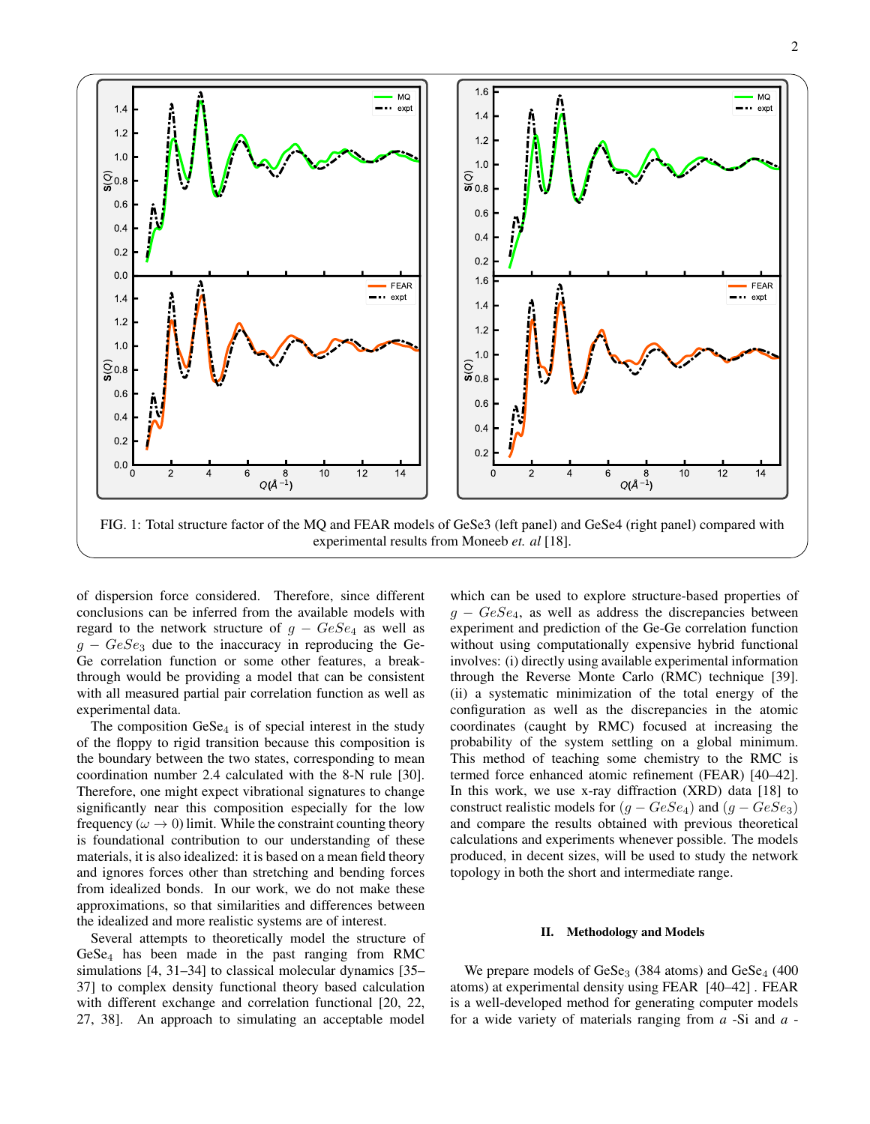

of dispersion force considered. Therefore, since different conclusions can be inferred from the available models with regard to the network structure of  $g - GeSe_4$  as well as  $g - GeSe<sub>3</sub>$  due to the inaccuracy in reproducing the Ge-Ge correlation function or some other features, a breakthrough would be providing a model that can be consistent with all measured partial pair correlation function as well as experimental data.

The composition  $GeSe<sub>4</sub>$  is of special interest in the study of the floppy to rigid transition because this composition is the boundary between the two states, corresponding to mean coordination number 2.4 calculated with the 8-N rule [30]. Therefore, one might expect vibrational signatures to change significantly near this composition especially for the low frequency ( $\omega \rightarrow 0$ ) limit. While the constraint counting theory is foundational contribution to our understanding of these materials, it is also idealized: it is based on a mean field theory and ignores forces other than stretching and bending forces from idealized bonds. In our work, we do not make these approximations, so that similarities and differences between the idealized and more realistic systems are of interest.

Several attempts to theoretically model the structure of  $GeSe<sub>4</sub>$  has been made in the past ranging from RMC simulations [4, 31–34] to classical molecular dynamics [35– 37] to complex density functional theory based calculation with different exchange and correlation functional [20, 22, 27, 38]. An approach to simulating an acceptable model

which can be used to explore structure-based properties of  $g - GeSe<sub>4</sub>$ , as well as address the discrepancies between experiment and prediction of the Ge-Ge correlation function without using computationally expensive hybrid functional involves: (i) directly using available experimental information through the Reverse Monte Carlo (RMC) technique [39]. (ii) a systematic minimization of the total energy of the configuration as well as the discrepancies in the atomic coordinates (caught by RMC) focused at increasing the probability of the system settling on a global minimum. This method of teaching some chemistry to the RMC is termed force enhanced atomic refinement (FEAR) [40–42]. In this work, we use x-ray diffraction (XRD) data [18] to construct realistic models for  $(g - GeSe_4)$  and  $(g - GeSe_3)$ and compare the results obtained with previous theoretical calculations and experiments whenever possible. The models produced, in decent sizes, will be used to study the network topology in both the short and intermediate range.

#### II. Methodology and Models

We prepare models of  $GeSe<sub>3</sub>$  (384 atoms) and  $GeSe<sub>4</sub>$  (400 atoms) at experimental density using FEAR [40–42] . FEAR is a well-developed method for generating computer models for a wide variety of materials ranging from *a* -Si and *a* -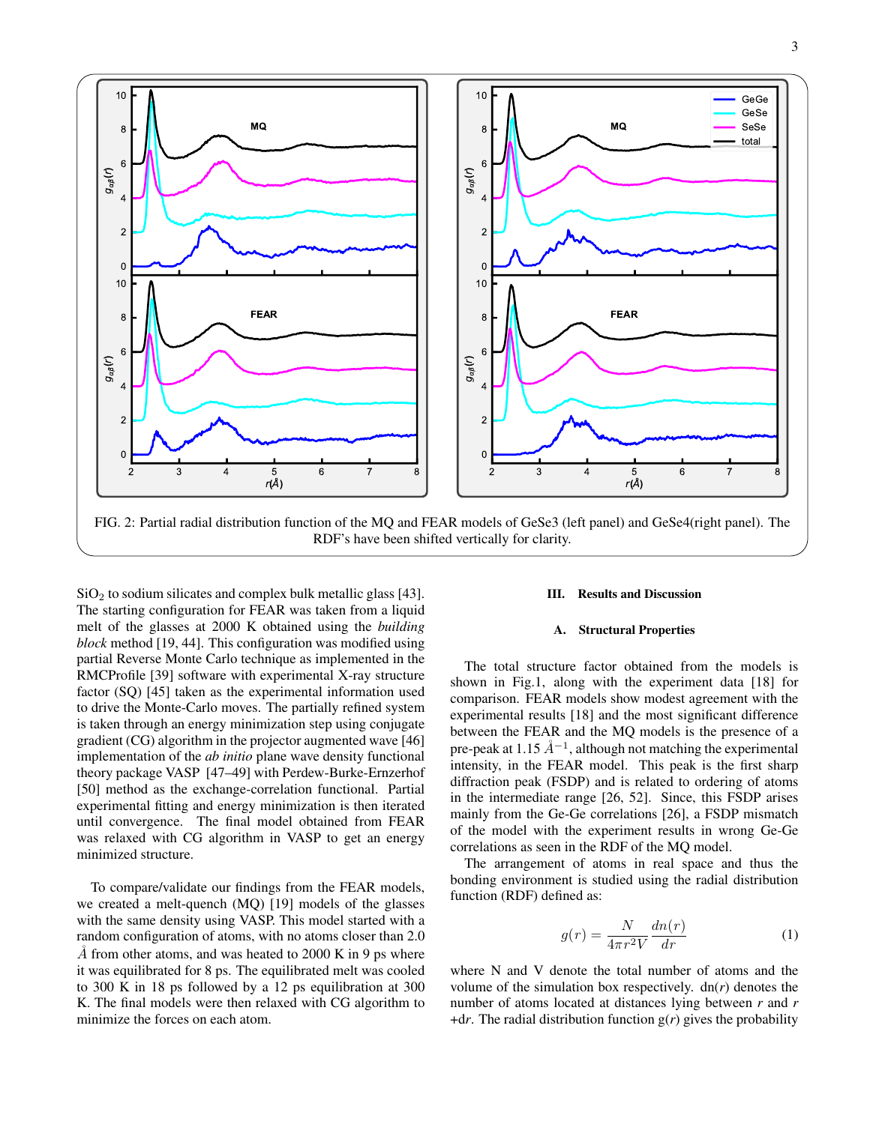

 $SiO<sub>2</sub>$  to sodium silicates and complex bulk metallic glass [43]. The starting configuration for FEAR was taken from a liquid melt of the glasses at 2000 K obtained using the *building block* method [19, 44]. This configuration was modified using partial Reverse Monte Carlo technique as implemented in the RMCProfile [39] software with experimental X-ray structure factor (SQ) [45] taken as the experimental information used to drive the Monte-Carlo moves. The partially refined system is taken through an energy minimization step using conjugate gradient (CG) algorithm in the projector augmented wave [46] implementation of the *ab initio* plane wave density functional theory package VASP [47–49] with Perdew-Burke-Ernzerhof [50] method as the exchange-correlation functional. Partial experimental fitting and energy minimization is then iterated until convergence. The final model obtained from FEAR was relaxed with CG algorithm in VASP to get an energy minimized structure.

To compare/validate our findings from the FEAR models, we created a melt-quench (MQ) [19] models of the glasses with the same density using VASP. This model started with a random configuration of atoms, with no atoms closer than 2.0  $\AA$  from other atoms, and was heated to 2000 K in 9 ps where it was equilibrated for 8 ps. The equilibrated melt was cooled to 300 K in 18 ps followed by a 12 ps equilibration at 300 K. The final models were then relaxed with CG algorithm to minimize the forces on each atom.

## III. Results and Discussion

## A. Structural Properties

The total structure factor obtained from the models is shown in Fig.1, along with the experiment data [18] for comparison. FEAR models show modest agreement with the experimental results [18] and the most significant difference between the FEAR and the MQ models is the presence of a pre-peak at 1.15  $\AA^{-1}$ , although not matching the experimental intensity, in the FEAR model. This peak is the first sharp diffraction peak (FSDP) and is related to ordering of atoms in the intermediate range [26, 52]. Since, this FSDP arises mainly from the Ge-Ge correlations [26], a FSDP mismatch of the model with the experiment results in wrong Ge-Ge correlations as seen in the RDF of the MQ model.

The arrangement of atoms in real space and thus the bonding environment is studied using the radial distribution function (RDF) defined as:

$$
g(r) = \frac{N}{4\pi r^2 V} \frac{dn(r)}{dr}
$$
 (1)

where N and V denote the total number of atoms and the volume of the simulation box respectively.  $dn(r)$  denotes the number of atoms located at distances lying between *r* and *r*  $+dr$ . The radial distribution function  $g(r)$  gives the probability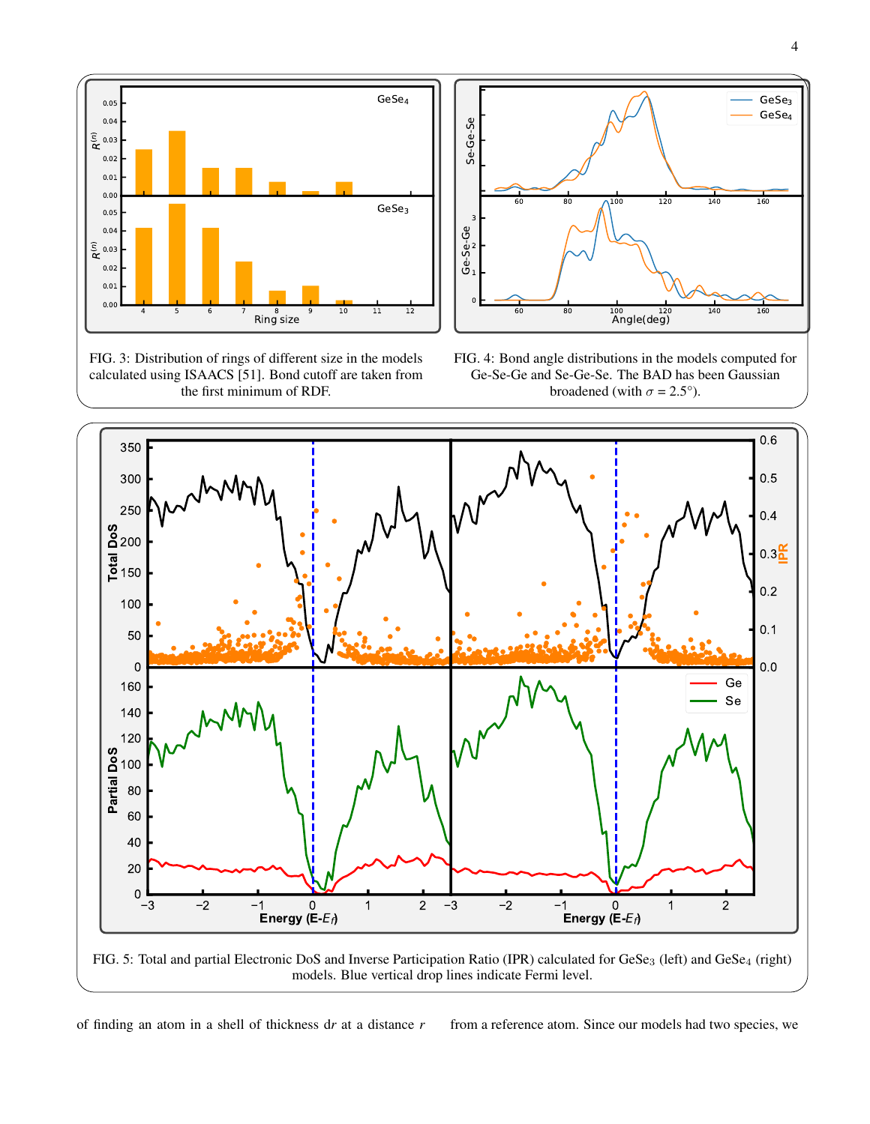

FIG. 3: Distribution of rings of different size in the models calculated using ISAACS [51]. Bond cutoff are taken from the first minimum of RDF.



FIG. 4: Bond angle distributions in the models computed for Ge-Se-Ge and Se-Ge-Se. The BAD has been Gaussian broadened (with  $\sigma = 2.5^{\circ}$ ).



models. Blue vertical drop lines indicate Fermi level.

of finding an atom in a shell of thickness d*r* at a distance *r* from a reference atom. Since our models had two species, we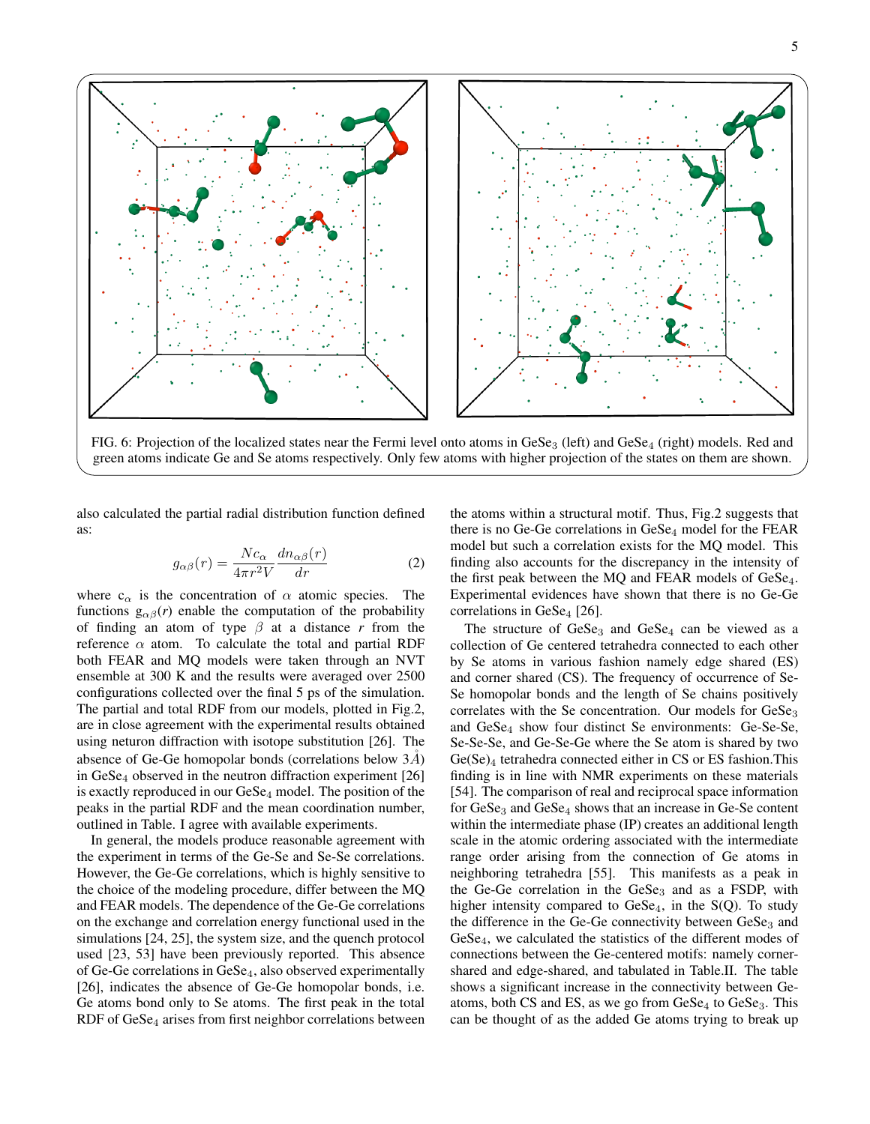

FIG. 6: Projection of the localized states near the Fermi level onto atoms in  $GeSe<sub>3</sub>$  (left) and  $GeSe<sub>4</sub>$  (right) models. Red and green atoms indicate Ge and Se atoms respectively. Only few atoms with higher projection of the states on them are shown.

also calculated the partial radial distribution function defined as:

$$
g_{\alpha\beta}(r) = \frac{Nc_{\alpha}}{4\pi r^2 V} \frac{dn_{\alpha\beta}(r)}{dr}
$$
 (2)

where  $c_{\alpha}$  is the concentration of  $\alpha$  atomic species. The functions  $g_{\alpha\beta}(r)$  enable the computation of the probability of finding an atom of type  $\beta$  at a distance r from the reference  $\alpha$  atom. To calculate the total and partial RDF both FEAR and MQ models were taken through an NVT ensemble at 300 K and the results were averaged over 2500 configurations collected over the final 5 ps of the simulation. The partial and total RDF from our models, plotted in Fig.2, are in close agreement with the experimental results obtained using neturon diffraction with isotope substitution [26]. The absence of Ge-Ge homopolar bonds (correlations below  $3A$ ) in  $GeSe_4$  observed in the neutron diffraction experiment [26] is exactly reproduced in our  $Ges_{4}$  model. The position of the peaks in the partial RDF and the mean coordination number, outlined in Table. I agree with available experiments.

In general, the models produce reasonable agreement with the experiment in terms of the Ge-Se and Se-Se correlations. However, the Ge-Ge correlations, which is highly sensitive to the choice of the modeling procedure, differ between the MQ and FEAR models. The dependence of the Ge-Ge correlations on the exchange and correlation energy functional used in the simulations [24, 25], the system size, and the quench protocol used [23, 53] have been previously reported. This absence of Ge-Ge correlations in GeSe4, also observed experimentally [26], indicates the absence of Ge-Ge homopolar bonds, i.e. Ge atoms bond only to Se atoms. The first peak in the total RDF of  $GeSe<sub>4</sub>$  arises from first neighbor correlations between the atoms within a structural motif. Thus, Fig.2 suggests that there is no Ge-Ge correlations in GeSe<sub>4</sub> model for the FEAR model but such a correlation exists for the MQ model. This finding also accounts for the discrepancy in the intensity of the first peak between the MQ and FEAR models of  $GeSe<sub>4</sub>$ . Experimental evidences have shown that there is no Ge-Ge correlations in  $GeSe<sub>4</sub>$  [26].

The structure of  $GeSe<sub>3</sub>$  and  $GeSe<sub>4</sub>$  can be viewed as a collection of Ge centered tetrahedra connected to each other by Se atoms in various fashion namely edge shared (ES) and corner shared (CS). The frequency of occurrence of Se-Se homopolar bonds and the length of Se chains positively correlates with the Se concentration. Our models for  $GeSe<sub>3</sub>$ and GeSe<sub>4</sub> show four distinct Se environments: Ge-Se-Se, Se-Se-Se, and Ge-Se-Ge where the Se atom is shared by two  $Ge(Se)<sub>4</sub>$  tetrahedra connected either in CS or ES fashion. This finding is in line with NMR experiments on these materials [54]. The comparison of real and reciprocal space information for  $GeSe<sub>3</sub>$  and  $GeSe<sub>4</sub>$  shows that an increase in Ge-Se content within the intermediate phase (IP) creates an additional length scale in the atomic ordering associated with the intermediate range order arising from the connection of Ge atoms in neighboring tetrahedra [55]. This manifests as a peak in the Ge-Ge correlation in the  $GeSe<sub>3</sub>$  and as a FSDP, with higher intensity compared to  $Ges$ <sub>4</sub>, in the  $S(Q)$ . To study the difference in the Ge-Ge connectivity between  $GeSe<sub>3</sub>$  and GeSe4, we calculated the statistics of the different modes of connections between the Ge-centered motifs: namely cornershared and edge-shared, and tabulated in Table.II. The table shows a significant increase in the connectivity between Geatoms, both CS and ES, as we go from  $GeSe_4$  to  $GeSe_3$ . This can be thought of as the added Ge atoms trying to break up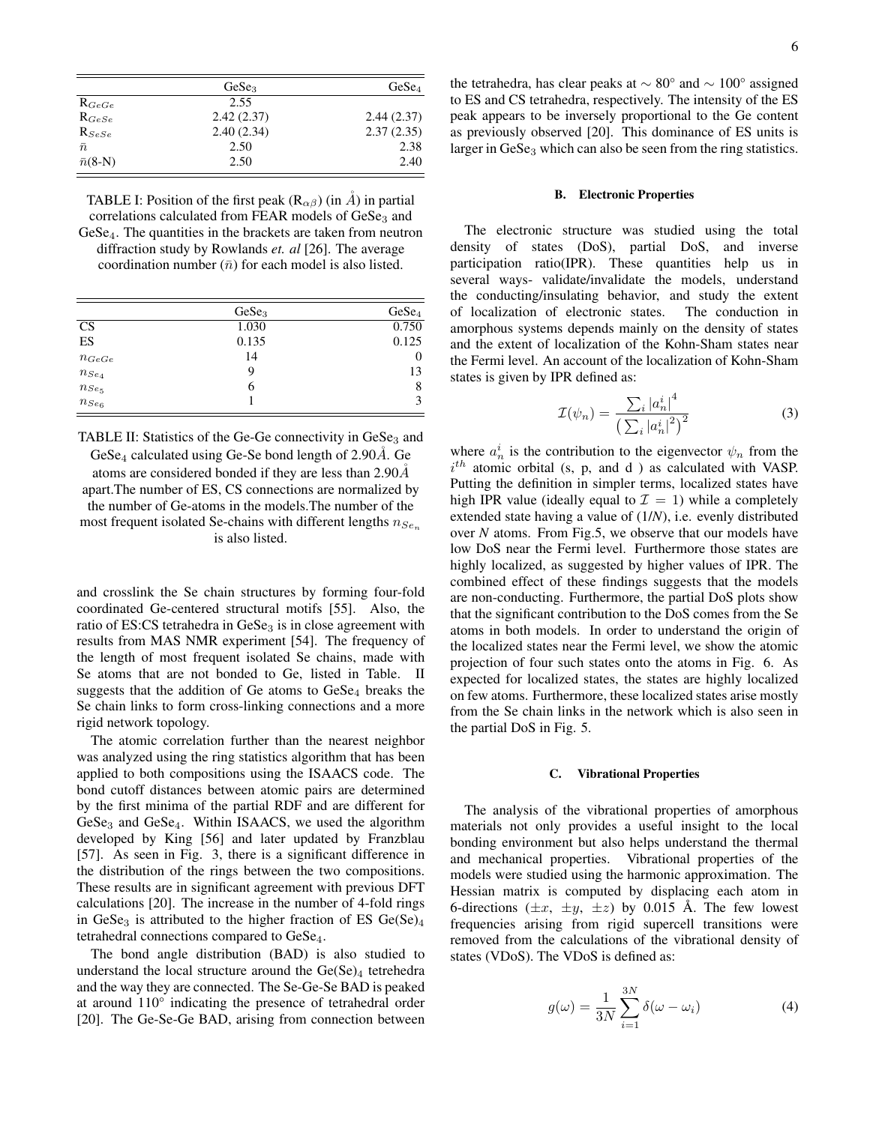|                     | GeSe <sub>3</sub> | GeSe <sub>4</sub> |
|---------------------|-------------------|-------------------|
| $\mathrm{R}_{GeGe}$ | 2.55              |                   |
| $R_{GeSe}$          | 2.42(2.37)        | 2.44(2.37)        |
| $R_{SeSe}$          | 2.40(2.34)        | 2.37(2.35)        |
| $\bar{n}$           | 2.50              | 2.38              |
| $\bar{n}(8-N)$      | 2.50              | 2.40              |

TABLE I: Position of the first peak  $(R_{\alpha\beta})$  (in  $\AA$ ) in partial correlations calculated from FEAR models of  $GeSe<sub>3</sub>$  and GeSe4. The quantities in the brackets are taken from neutron diffraction study by Rowlands *et. al* [26]. The average coordination number  $(\bar{n})$  for each model is also listed.

|                                                                | GeSe <sub>3</sub> | GeSe <sub>4</sub> |
|----------------------------------------------------------------|-------------------|-------------------|
| CS                                                             | 1.030             | 0.750             |
| ES                                                             | 0.135             | 0.125             |
| $n_{GeGe}$                                                     | 14                | 0                 |
|                                                                | 9                 | 13                |
|                                                                | 6                 | 8                 |
| $\begin{aligned} n_{Se_4}\\ n_{Se_5}\\ n_{Se_6} \end{aligned}$ |                   |                   |

TABLE II: Statistics of the Ge-Ge connectivity in GeSe<sub>3</sub> and GeSe<sub>4</sub> calculated using Ge-Se bond length of  $2.90\AA$ . Ge

atoms are considered bonded if they are less than  $2.90\AA$ apart.The number of ES, CS connections are normalized by the number of Ge-atoms in the models.The number of the most frequent isolated Se-chains with different lengths  $n_{Se_n}$ is also listed.

and crosslink the Se chain structures by forming four-fold coordinated Ge-centered structural motifs [55]. Also, the ratio of ES:CS tetrahedra in  $GeSe<sub>3</sub>$  is in close agreement with results from MAS NMR experiment [54]. The frequency of the length of most frequent isolated Se chains, made with Se atoms that are not bonded to Ge, listed in Table. II suggests that the addition of Ge atoms to  $GeSe<sub>4</sub>$  breaks the Se chain links to form cross-linking connections and a more rigid network topology.

The atomic correlation further than the nearest neighbor was analyzed using the ring statistics algorithm that has been applied to both compositions using the ISAACS code. The bond cutoff distances between atomic pairs are determined by the first minima of the partial RDF and are different for  $GeSe<sub>3</sub>$  and  $GeSe<sub>4</sub>$ . Within ISAACS, we used the algorithm developed by King [56] and later updated by Franzblau [57]. As seen in Fig. 3, there is a significant difference in the distribution of the rings between the two compositions. These results are in significant agreement with previous DFT calculations [20]. The increase in the number of 4-fold rings in GeSe<sub>3</sub> is attributed to the higher fraction of ES Ge(Se)<sub>4</sub> tetrahedral connections compared to GeSe4.

The bond angle distribution (BAD) is also studied to understand the local structure around the  $Ge(Se)_4$  tetrehedra and the way they are connected. The Se-Ge-Se BAD is peaked at around 110° indicating the presence of tetrahedral order [20]. The Ge-Se-Ge BAD, arising from connection between the tetrahedra, has clear peaks at ∼ 80° and ∼ 100° assigned to ES and CS tetrahedra, respectively. The intensity of the ES peak appears to be inversely proportional to the Ge content as previously observed [20]. This dominance of ES units is larger in GeSe<sub>3</sub> which can also be seen from the ring statistics.

#### B. Electronic Properties

The electronic structure was studied using the total density of states (DoS), partial DoS, and inverse participation ratio(IPR). These quantities help us in several ways- validate/invalidate the models, understand the conducting/insulating behavior, and study the extent of localization of electronic states. The conduction in amorphous systems depends mainly on the density of states and the extent of localization of the Kohn-Sham states near the Fermi level. An account of the localization of Kohn-Sham states is given by IPR defined as:

$$
\mathcal{I}(\psi_n) = \frac{\sum_{i} |a_n^i|^4}{\left(\sum_{i} |a_n^i|^2\right)^2}
$$
\n(3)

where  $a_n^i$  is the contribution to the eigenvector  $\psi_n$  from the  $i^{th}$  atomic orbital (s, p, and d) as calculated with VASP. Putting the definition in simpler terms, localized states have high IPR value (ideally equal to  $\mathcal{I} = 1$ ) while a completely extended state having a value of (1/*N*), i.e. evenly distributed over *N* atoms. From Fig.5, we observe that our models have low DoS near the Fermi level. Furthermore those states are highly localized, as suggested by higher values of IPR. The combined effect of these findings suggests that the models are non-conducting. Furthermore, the partial DoS plots show that the significant contribution to the DoS comes from the Se atoms in both models. In order to understand the origin of the localized states near the Fermi level, we show the atomic projection of four such states onto the atoms in Fig. 6. As expected for localized states, the states are highly localized on few atoms. Furthermore, these localized states arise mostly from the Se chain links in the network which is also seen in the partial DoS in Fig. 5.

#### C. Vibrational Properties

The analysis of the vibrational properties of amorphous materials not only provides a useful insight to the local bonding environment but also helps understand the thermal and mechanical properties. Vibrational properties of the models were studied using the harmonic approximation. The Hessian matrix is computed by displacing each atom in 6-directions  $(\pm x, \pm y, \pm z)$  by 0.015 Å. The few lowest frequencies arising from rigid supercell transitions were removed from the calculations of the vibrational density of states (VDoS). The VDoS is defined as:

$$
g(\omega) = \frac{1}{3N} \sum_{i=1}^{3N} \delta(\omega - \omega_i)
$$
 (4)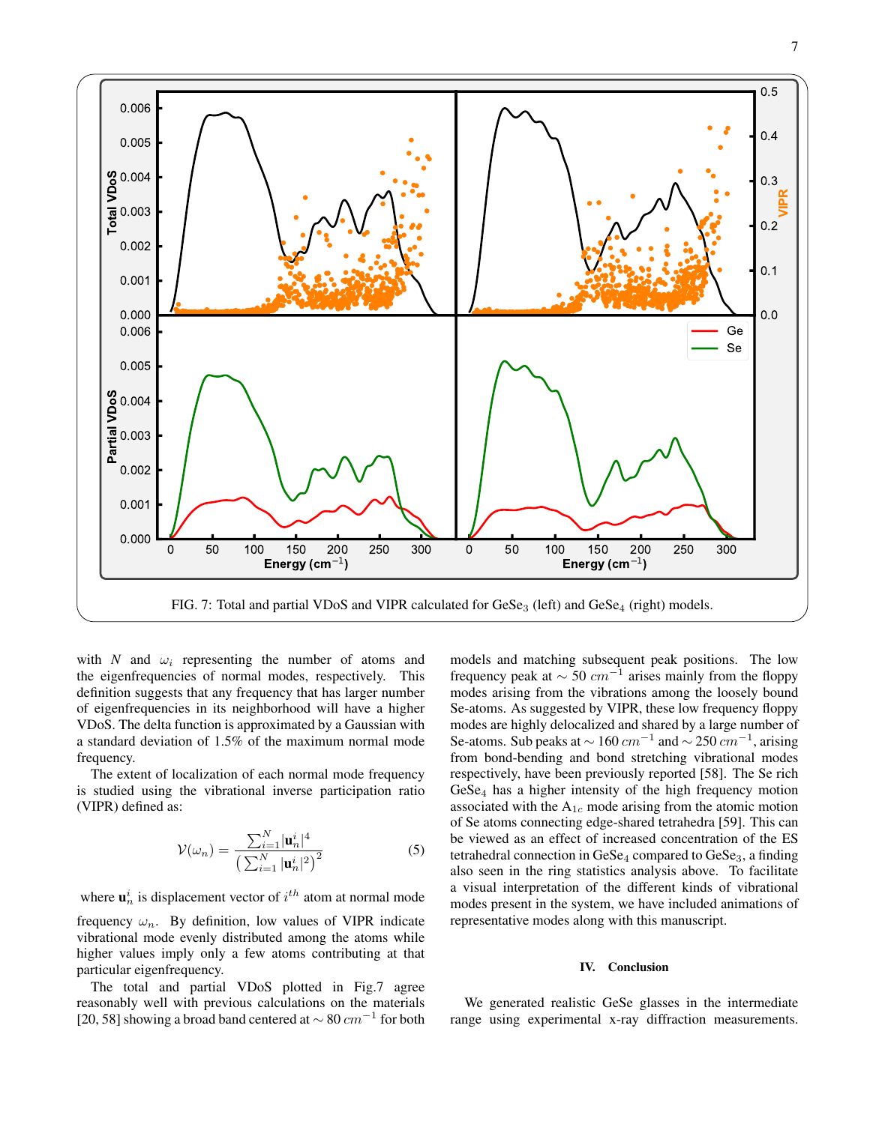

with *N* and  $\omega_i$  representing the number of atoms and the eigenfrequencies of normal modes, respectively. This definition suggests that any frequency that has larger number of eigenfrequencies in its neighborhood will have a higher VDoS. The delta function is approximated by a Gaussian with a standard deviation of 1.5% of the maximum normal mode frequency.

The extent of localization of each normal mode frequency is studied using the vibrational inverse participation ratio (VIPR) defined as:

$$
\mathcal{V}(\omega_n) = \frac{\sum_{i=1}^{N} |\mathbf{u}_n^i|^4}{\left(\sum_{i=1}^{N} |\mathbf{u}_n^i|^2\right)^2}
$$
(5)

where  $\mathbf{u}_n^i$  is displacement vector of  $i^{th}$  atom at normal mode frequency  $\omega_n$ . By definition, low values of VIPR indicate vibrational mode evenly distributed among the atoms while higher values imply only a few atoms contributing at that particular eigenfrequency.

The total and partial VDoS plotted in Fig.7 agree reasonably well with previous calculations on the materials [20, 58] showing a broad band centered at  $\sim 80$   $cm^{-1}$  for both

models and matching subsequent peak positions. The low frequency peak at  $\sim 50$   $cm^{-1}$  arises mainly from the floppy modes arising from the vibrations among the loosely bound Se-atoms. As suggested by VIPR, these low frequency floppy modes are highly delocalized and shared by a large number of Se-atoms. Sub peaks at  $\sim 160$   $cm^{-1}$  and  $\sim 250$   $cm^{-1}$ , arising from bond-bending and bond stretching vibrational modes respectively, have been previously reported [58]. The Se rich  $GeSe<sub>4</sub>$  has a higher intensity of the high frequency motion associated with the  $A_{1c}$  mode arising from the atomic motion of Se atoms connecting edge-shared tetrahedra [59]. This can be viewed as an effect of increased concentration of the ES tetrahedral connection in  $GeSe_4$  compared to  $GeSe_3$ , a finding also seen in the ring statistics analysis above. To facilitate a visual interpretation of the different kinds of vibrational modes present in the system, we have included animations of representative modes along with this manuscript.

#### IV. Conclusion

We generated realistic GeSe glasses in the intermediate range using experimental x-ray diffraction measurements.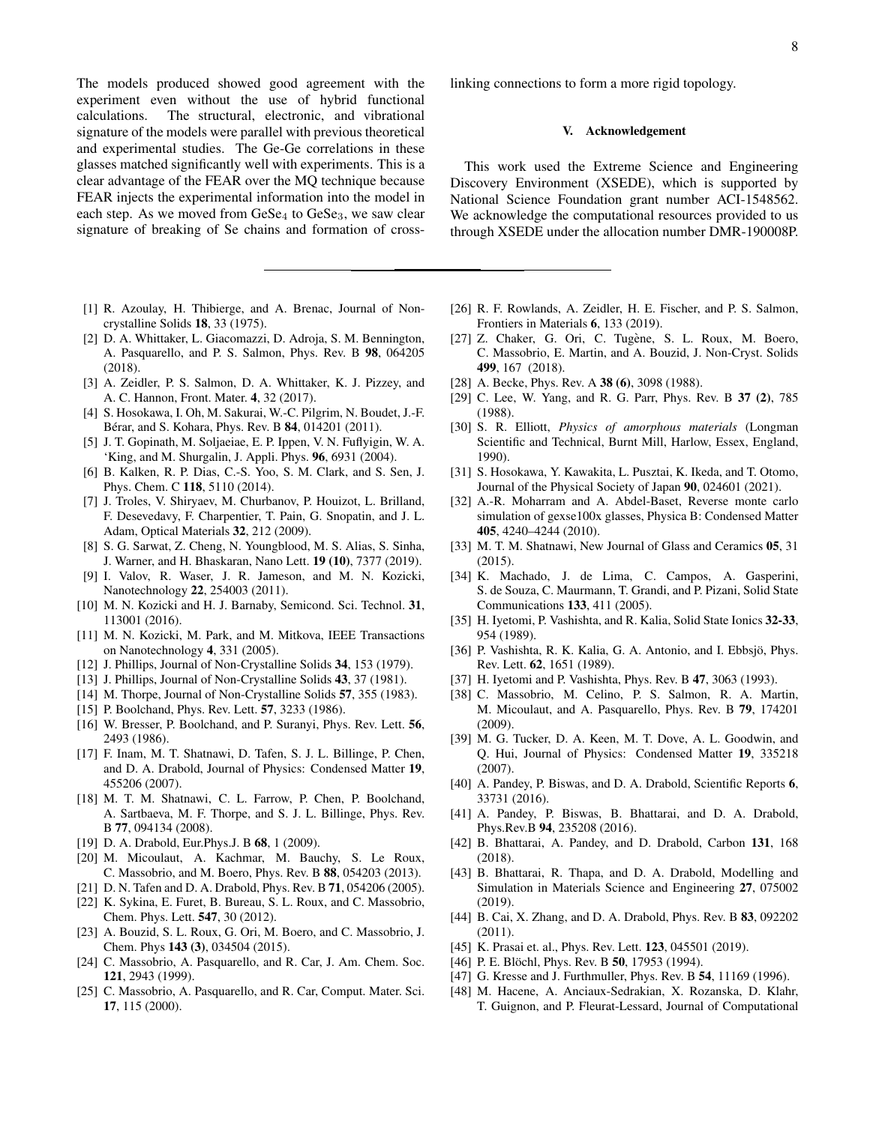The models produced showed good agreement with the experiment even without the use of hybrid functional calculations. The structural, electronic, and vibrational signature of the models were parallel with previous theoretical and experimental studies. The Ge-Ge correlations in these glasses matched significantly well with experiments. This is a clear advantage of the FEAR over the MQ technique because FEAR injects the experimental information into the model in each step. As we moved from  $GeSe_4$  to  $GeSe_3$ , we saw clear signature of breaking of Se chains and formation of cross-

- [1] R. Azoulay, H. Thibierge, and A. Brenac, Journal of Noncrystalline Solids 18, 33 (1975).
- [2] D. A. Whittaker, L. Giacomazzi, D. Adroja, S. M. Bennington, A. Pasquarello, and P. S. Salmon, Phys. Rev. B 98, 064205 (2018).
- [3] A. Zeidler, P. S. Salmon, D. A. Whittaker, K. J. Pizzey, and A. C. Hannon, Front. Mater. 4, 32 (2017).
- [4] S. Hosokawa, I. Oh, M. Sakurai, W.-C. Pilgrim, N. Boudet, J.-F. Bérar, and S. Kohara, Phys. Rev. B 84, 014201 (2011).
- [5] J. T. Gopinath, M. Soljaeiae, E. P. Ippen, V. N. Fuflyigin, W. A. 'King, and M. Shurgalin, J. Appli. Phys. 96, 6931 (2004).
- [6] B. Kalken, R. P. Dias, C.-S. Yoo, S. M. Clark, and S. Sen, J. Phys. Chem. C 118, 5110 (2014).
- [7] J. Troles, V. Shiryaev, M. Churbanov, P. Houizot, L. Brilland, F. Desevedavy, F. Charpentier, T. Pain, G. Snopatin, and J. L. Adam, Optical Materials 32, 212 (2009).
- [8] S. G. Sarwat, Z. Cheng, N. Youngblood, M. S. Alias, S. Sinha, J. Warner, and H. Bhaskaran, Nano Lett. 19 (10), 7377 (2019).
- [9] I. Valov, R. Waser, J. R. Jameson, and M. N. Kozicki, Nanotechnology 22, 254003 (2011).
- [10] M. N. Kozicki and H. J. Barnaby, Semicond. Sci. Technol. 31, 113001 (2016).
- [11] M. N. Kozicki, M. Park, and M. Mitkova, IEEE Transactions on Nanotechnology 4, 331 (2005).
- [12] J. Phillips, Journal of Non-Crystalline Solids 34, 153 (1979).
- [13] J. Phillips, Journal of Non-Crystalline Solids 43, 37 (1981).
- [14] M. Thorpe, Journal of Non-Crystalline Solids 57, 355 (1983).
- [15] P. Boolchand, Phys. Rev. Lett. **57**, 3233 (1986).
- [16] W. Bresser, P. Boolchand, and P. Suranyi, Phys. Rev. Lett. 56, 2493 (1986).
- [17] F. Inam, M. T. Shatnawi, D. Tafen, S. J. L. Billinge, P. Chen, and D. A. Drabold, Journal of Physics: Condensed Matter 19, 455206 (2007).
- [18] M. T. M. Shatnawi, C. L. Farrow, P. Chen, P. Boolchand, A. Sartbaeva, M. F. Thorpe, and S. J. L. Billinge, Phys. Rev. B 77, 094134 (2008).
- [19] D. A. Drabold, Eur.Phys.J. B 68, 1 (2009).
- [20] M. Micoulaut, A. Kachmar, M. Bauchy, S. Le Roux, C. Massobrio, and M. Boero, Phys. Rev. B 88, 054203 (2013).
- [21] D. N. Tafen and D. A. Drabold, Phys. Rev. B **71**, 054206 (2005).
- [22] K. Sykina, E. Furet, B. Bureau, S. L. Roux, and C. Massobrio, Chem. Phys. Lett. 547, 30 (2012).
- [23] A. Bouzid, S. L. Roux, G. Ori, M. Boero, and C. Massobrio, J. Chem. Phys 143 (3), 034504 (2015).
- [24] C. Massobrio, A. Pasquarello, and R. Car, J. Am. Chem. Soc. 121, 2943 (1999).
- [25] C. Massobrio, A. Pasquarello, and R. Car, Comput. Mater. Sci. 17, 115 (2000).

linking connections to form a more rigid topology.

## V. Acknowledgement

This work used the Extreme Science and Engineering Discovery Environment (XSEDE), which is supported by National Science Foundation grant number ACI-1548562. We acknowledge the computational resources provided to us through XSEDE under the allocation number DMR-190008P.

- [26] R. F. Rowlands, A. Zeidler, H. E. Fischer, and P. S. Salmon, Frontiers in Materials 6, 133 (2019).
- [27] Z. Chaker, G. Ori, C. Tugène, S. L. Roux, M. Boero, C. Massobrio, E. Martin, and A. Bouzid, J. Non-Cryst. Solids 499, 167 (2018).
- [28] A. Becke, Phys. Rev. A 38 (6), 3098 (1988).
- [29] C. Lee, W. Yang, and R. G. Parr, Phys. Rev. B 37 (2), 785 (1988).
- [30] S. R. Elliott, *Physics of amorphous materials* (Longman Scientific and Technical, Burnt Mill, Harlow, Essex, England, 1990).
- [31] S. Hosokawa, Y. Kawakita, L. Pusztai, K. Ikeda, and T. Otomo, Journal of the Physical Society of Japan 90, 024601 (2021).
- [32] A.-R. Moharram and A. Abdel-Baset, Reverse monte carlo simulation of gexse100x glasses, Physica B: Condensed Matter 405, 4240–4244 (2010).
- [33] M. T. M. Shatnawi, New Journal of Glass and Ceramics 05, 31 (2015).
- [34] K. Machado, J. de Lima, C. Campos, A. Gasperini, S. de Souza, C. Maurmann, T. Grandi, and P. Pizani, Solid State Communications 133, 411 (2005).
- [35] H. Iyetomi, P. Vashishta, and R. Kalia, Solid State Ionics 32-33, 954 (1989).
- [36] P. Vashishta, R. K. Kalia, G. A. Antonio, and I. Ebbsjö, Phys. Rev. Lett. 62, 1651 (1989).
- [37] H. Iyetomi and P. Vashishta, Phys. Rev. B 47, 3063 (1993).
- [38] C. Massobrio, M. Celino, P. S. Salmon, R. A. Martin, M. Micoulaut, and A. Pasquarello, Phys. Rev. B 79, 174201 (2009).
- [39] M. G. Tucker, D. A. Keen, M. T. Dove, A. L. Goodwin, and Q. Hui, Journal of Physics: Condensed Matter 19, 335218 (2007).
- [40] A. Pandey, P. Biswas, and D. A. Drabold, Scientific Reports 6, 33731 (2016).
- [41] A. Pandey, P. Biswas, B. Bhattarai, and D. A. Drabold, Phys.Rev.B 94, 235208 (2016).
- [42] B. Bhattarai, A. Pandey, and D. Drabold, Carbon 131, 168 (2018).
- [43] B. Bhattarai, R. Thapa, and D. A. Drabold, Modelling and Simulation in Materials Science and Engineering 27, 075002 (2019).
- [44] B. Cai, X. Zhang, and D. A. Drabold, Phys. Rev. B 83, 092202 (2011).
- [45] K. Prasai et. al., Phys. Rev. Lett. **123**, 045501 (2019).
- [46] P. E. Blöchl, Phys. Rev. B **50**, 17953 (1994).
- [47] G. Kresse and J. Furthmuller, Phys. Rev. B 54, 11169 (1996).
- [48] M. Hacene, A. Anciaux-Sedrakian, X. Rozanska, D. Klahr, T. Guignon, and P. Fleurat-Lessard, Journal of Computational